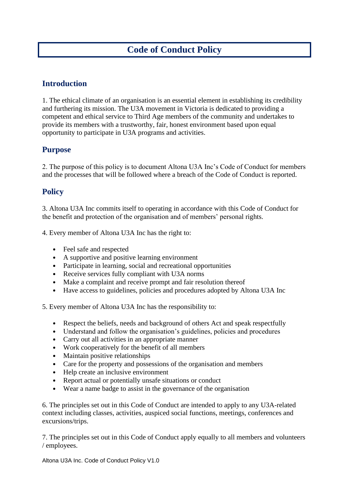# **Introduction**

1. The ethical climate of an organisation is an essential element in establishing its credibility and furthering its mission. The U3A movement in Victoria is dedicated to providing a competent and ethical service to Third Age members of the community and undertakes to provide its members with a trustworthy, fair, honest environment based upon equal opportunity to participate in U3A programs and activities.

## **Purpose**

2. The purpose of this policy is to document Altona U3A Inc's Code of Conduct for members and the processes that will be followed where a breach of the Code of Conduct is reported.

## **Policy**

3. Altona U3A Inc commits itself to operating in accordance with this Code of Conduct for the benefit and protection of the organisation and of members' personal rights.

4. Every member of Altona U3A Inc has the right to:

- Feel safe and respected
- A supportive and positive learning environment
- Participate in learning, social and recreational opportunities
- Receive services fully compliant with U3A norms
- Make a complaint and receive prompt and fair resolution thereof
- Have access to guidelines, policies and procedures adopted by Altona U3A Inc

5. Every member of Altona U3A Inc has the responsibility to:

- Respect the beliefs, needs and background of others Act and speak respectfully
- Understand and follow the organisation's guidelines, policies and procedures
- Carry out all activities in an appropriate manner
- Work cooperatively for the benefit of all members
- Maintain positive relationships
- Care for the property and possessions of the organisation and members
- Help create an inclusive environment
- Report actual or potentially unsafe situations or conduct
- Wear a name badge to assist in the governance of the organisation

6. The principles set out in this Code of Conduct are intended to apply to any U3A-related context including classes, activities, auspiced social functions, meetings, conferences and excursions/trips.

7. The principles set out in this Code of Conduct apply equally to all members and volunteers / employees.

Altona U3A Inc. Code of Conduct Policy V1.0